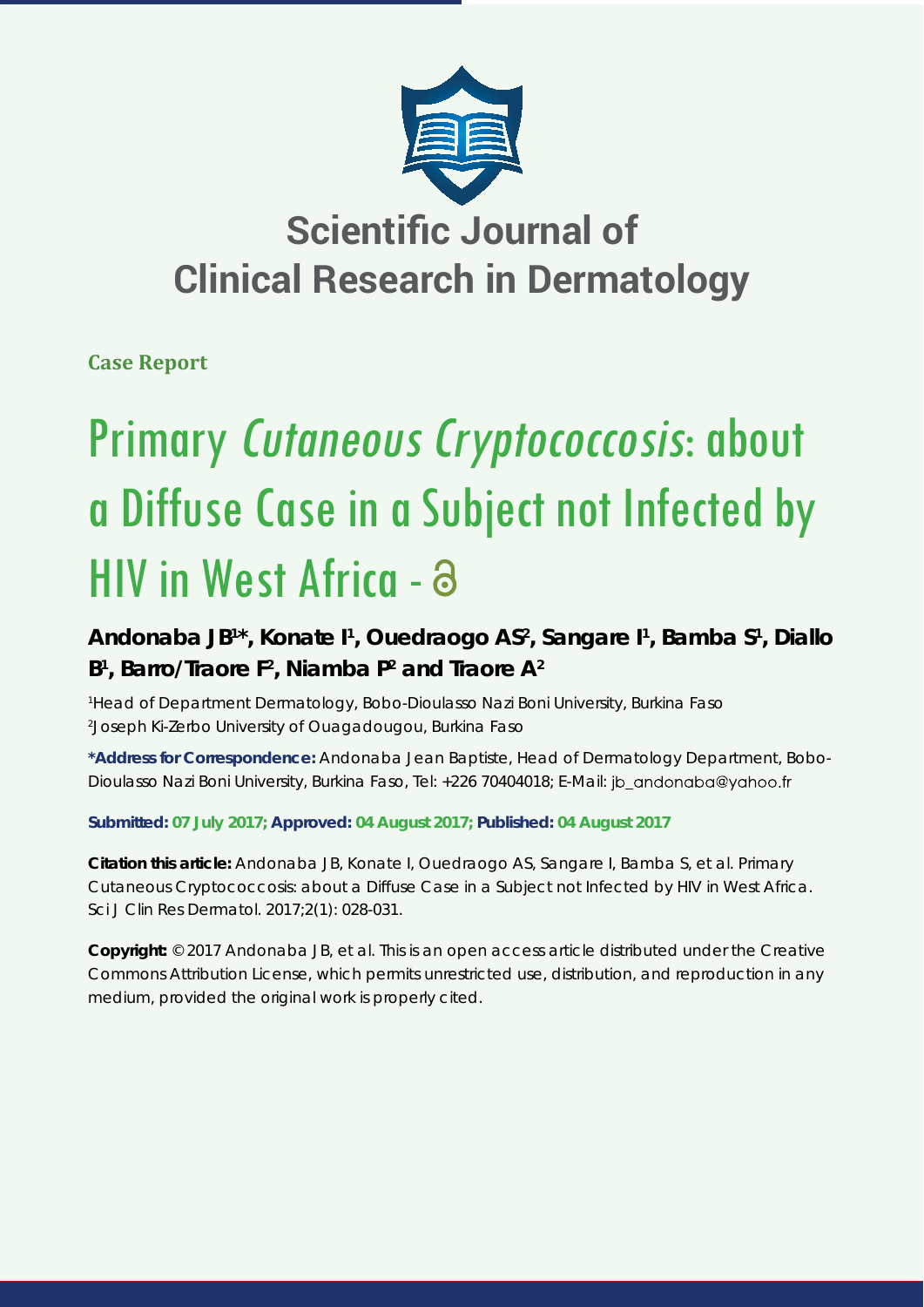

## **Scientific Journal of Clinical Research in Dermatology**

**Case Report**

# Primary Cutaneous Cryptococcosis: about a Diffuse Case in a Subject not Infected by HIV in West Africa -

### Andonaba JB<sup>1\*</sup>, Konate I<sup>1</sup>, Ouedraogo AS<sup>2</sup>, Sangare I<sup>1</sup>, Bamba S<sup>1</sup>, Diallo B<sup>1</sup>, Barro/Traore F<sup>2</sup>, Niamba P<sup>2</sup> and Traore A<sup>2</sup>

*1 Head of Department Dermatology, Bobo-Dioulasso Nazi Boni University, Burkina Faso 2 Joseph Ki-Zerbo University of Ouagadougou, Burkina Faso*

**\*Address for Correspondence:** Andonaba Jean Baptiste, Head of Dermatology Department, Bobo-Dioulasso Nazi Boni University, Burkina Faso, Tel: +226 70404018; E-Mail: jb\_andonaba@yahoo.fr

**Submitted: 07 July 2017; Approved: 04 August 2017; Published: 04 August 2017**

**Citation this article:** Andonaba JB, Konate I, Ouedraogo AS, Sangare I, Bamba S, et al. Primary Cutaneous Cryptococcosis: about a Diffuse Case in a Subject not Infected by HIV in West Africa. Sci J Clin Res Dermatol. 2017;2(1): 028-031.

**Copyright:** © 2017 Andonaba JB, et al. This is an open access article distributed under the Creative Commons Attribution License, which permits unrestricted use, distribution, and reproduction in any medium, provided the original work is properly cited.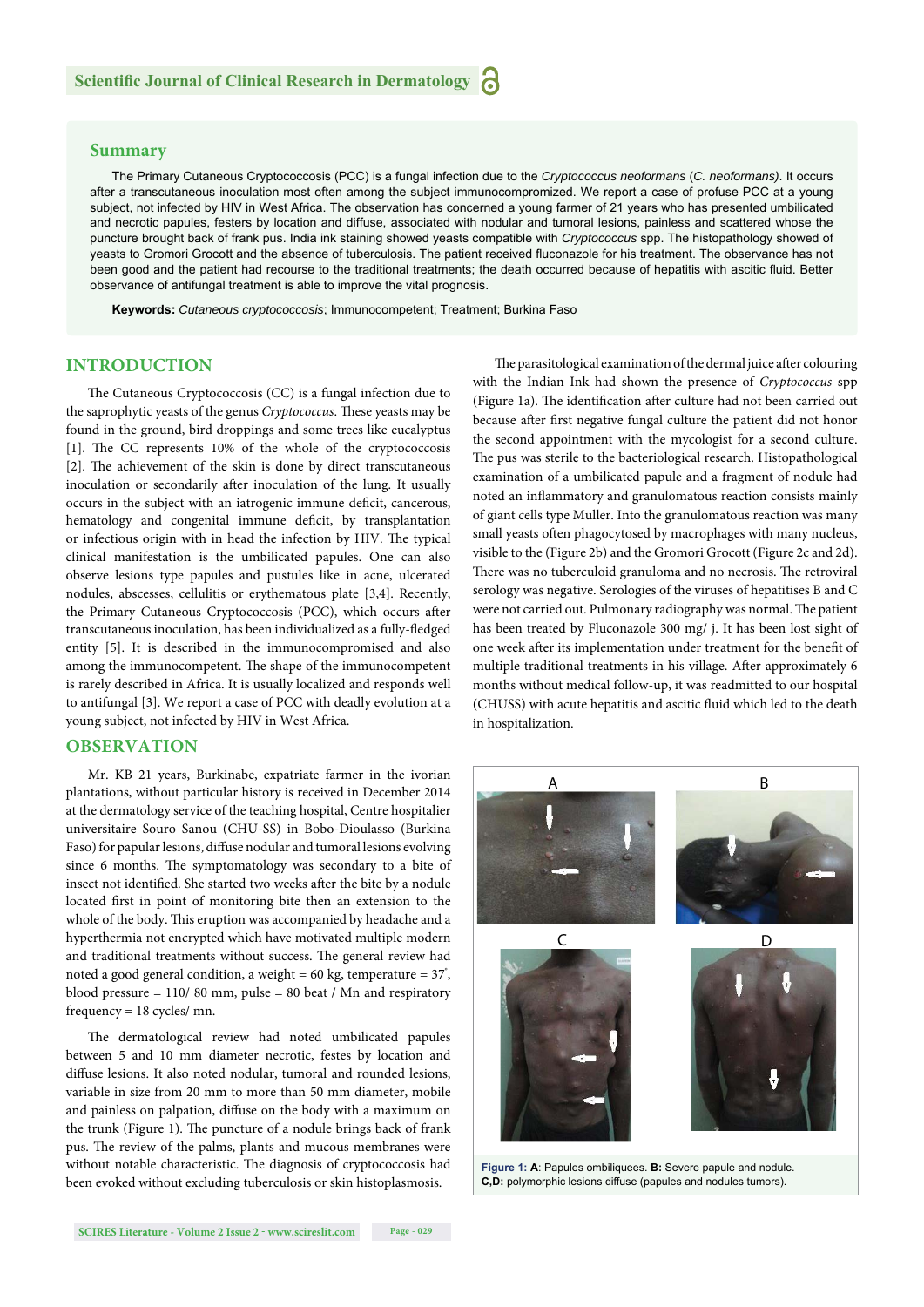#### **Summary**

The Primary Cutaneous Cryptococcosis (PCC) is a fungal infection due to the *Cryptococcus neoformans* (*C. neoformans)*. It occurs after a transcutaneous inoculation most often among the subject immunocompromized. We report a case of profuse PCC at a young subject, not infected by HIV in West Africa. The observation has concerned a young farmer of 21 years who has presented umbilicated and necrotic papules, festers by location and diffuse, associated with nodular and tumoral lesions, painless and scattered whose the puncture brought back of frank pus. India ink staining showed yeasts compatible with *Cryptococcus* spp. The histopathology showed of yeasts to Gromori Grocott and the absence of tuberculosis. The patient received fluconazole for his treatment. The observance has not been good and the patient had recourse to the traditional treatments; the death occurred because of hepatitis with ascitic fluid. Better observance of antifungal treatment is able to improve the vital prognosis.

**Keywords:** *Cutaneous cryptococcosis*; Immunocompetent; Treatment; Burkina Faso

#### **INTRODUCTION**

The Cutaneous Cryptococcosis (CC) is a fungal infection due to the saprophytic yeasts of the genus *Cryptococcus*. These yeasts may be found in the ground, bird droppings and some trees like eucalyptus [1]. The CC represents 10% of the whole of the cryptococcosis [2]. The achievement of the skin is done by direct transcutaneous inoculation or secondarily after inoculation of the lung. It usually occurs in the subject with an iatrogenic immune deficit, cancerous, hematology and congenital immune deficit, by transplantation or infectious origin with in head the infection by HIV. The typical clinical manifestation is the umbilicated papules. One can also observe lesions type papules and pustules like in acne, ulcerated nodules, abscesses, cellulitis or erythematous plate [3,4]. Recently, the Primary Cutaneous Cryptococcosis (PCC), which occurs after transcutaneous inoculation, has been individualized as a fully-fledged entity [5]. It is described in the immunocompromised and also among the immunocompetent. The shape of the immunocompetent is rarely described in Africa. It is usually localized and responds well to antifungal [3]. We report a case of PCC with deadly evolution at a young subject, not infected by HIV in West Africa.

#### **OBSERVATION**

Mr. KB 21 years, Burkinabe, expatriate farmer in the ivorian plantations, without particular history is received in December 2014 at the dermatology service of the teaching hospital, Centre hospitalier universitaire Souro Sanou (CHU-SS) in Bobo-Dioulasso (Burkina Faso) for papular lesions, diffuse nodular and tumoral lesions evolving since 6 months. The symptomatology was secondary to a bite of insect not identified. She started two weeks after the bite by a nodule located first in point of monitoring bite then an extension to the whole of the body. This eruption was accompanied by headache and a hyperthermia not encrypted which have motivated multiple modern and traditional treatments without success. The general review had noted a good general condition, a weight = 60 kg, temperature = 37° , blood pressure = 110/ 80 mm, pulse = 80 beat / Mn and respiratory frequency = 18 cycles/ mn.

The dermatological review had noted umbilicated papules between 5 and 10 mm diameter necrotic, festes by location and diffuse lesions. It also noted nodular, tumoral and rounded lesions, variable in size from 20 mm to more than 50 mm diameter, mobile and painless on palpation, diffuse on the body with a maximum on the trunk (Figure 1). The puncture of a nodule brings back of frank pus. The review of the palms, plants and mucous membranes were without notable characteristic. The diagnosis of cryptococcosis had been evoked without excluding tuberculosis or skin histoplasmosis.

The parasitological examination of the dermal juice after colouring with the Indian Ink had shown the presence of *Cryptococcus* spp (Figure 1a). The identification after culture had not been carried out because after first negative fungal culture the patient did not honor the second appointment with the mycologist for a second culture. The pus was sterile to the bacteriological research. Histopathological examination of a umbilicated papule and a fragment of nodule had noted an inflammatory and granulomatous reaction consists mainly of giant cells type Muller. Into the granulomatous reaction was many small yeasts often phagocytosed by macrophages with many nucleus, visible to the (Figure 2b) and the Gromori Grocott (Figure 2c and 2d). There was no tuberculoid granuloma and no necrosis. The retroviral serology was negative. Serologies of the viruses of hepatitises B and C were not carried out. Pulmonary radiography was normal. The patient has been treated by Fluconazole 300 mg/ j. It has been lost sight of one week after its implementation under treatment for the benefit of multiple traditional treatments in his village. After approximately 6 months without medical follow-up, it was readmitted to our hospital (CHUSS) with acute hepatitis and ascitic fluid which led to the death in hospitalization.



**Figure 1: A**: Papules ombiliquees. **B:** Severe papule and nodule. **C,D:** polymorphic lesions diffuse (papules and nodules tumors).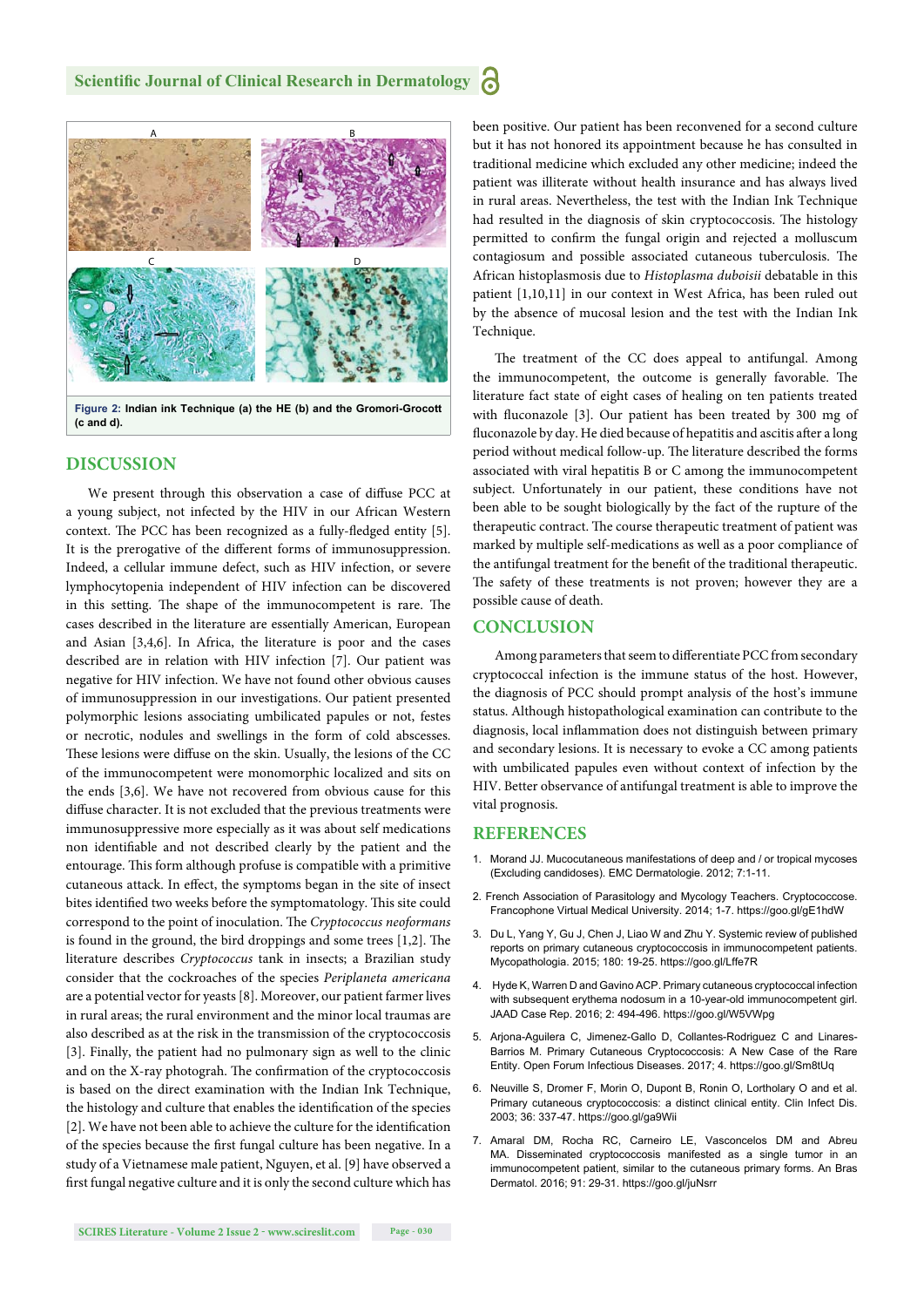

**Figure 2: Indian ink Technique (a) the HE (b) and the Gromori-Grocott (c and d).**

#### **DISCUSSION**

We present through this observation a case of diffuse PCC at a young subject, not infected by the HIV in our African Western context. The PCC has been recognized as a fully-fledged entity [5]. It is the prerogative of the different forms of immunosuppression. Indeed, a cellular immune defect, such as HIV infection, or severe lymphocytopenia independent of HIV infection can be discovered in this setting. The shape of the immunocompetent is rare. The cases described in the literature are essentially American, European and Asian [3,4,6]. In Africa, the literature is poor and the cases described are in relation with HIV infection [7]. Our patient was negative for HIV infection. We have not found other obvious causes of immunosuppression in our investigations. Our patient presented polymorphic lesions associating umbilicated papules or not, festes or necrotic, nodules and swellings in the form of cold abscesses. These lesions were diffuse on the skin. Usually, the lesions of the CC of the immunocompetent were monomorphic localized and sits on the ends [3,6]. We have not recovered from obvious cause for this diffuse character. It is not excluded that the previous treatments were immunosuppressive more especially as it was about self medications non identifiable and not described clearly by the patient and the entourage. This form although profuse is compatible with a primitive cutaneous attack. In effect, the symptoms began in the site of insect bites identified two weeks before the symptomatology. This site could correspond to the point of inoculation. The *Cryptococcus neoformans* is found in the ground, the bird droppings and some trees  $[1,2]$ . The literature describes *Cryptococcus* tank in insects; a Brazilian study consider that the cockroaches of the species *Periplaneta americana*  are a potential vector for yeasts [8]. Moreover, our patient farmer lives in rural areas; the rural environment and the minor local traumas are also described as at the risk in the transmission of the cryptococcosis [3]. Finally, the patient had no pulmonary sign as well to the clinic and on the X-ray photograh. The confirmation of the cryptococcosis is based on the direct examination with the Indian Ink Technique, the histology and culture that enables the identification of the species [2]. We have not been able to achieve the culture for the identification of the species because the first fungal culture has been negative. In a study of a Vietnamese male patient, Nguyen, et al. [9] have observed a first fungal negative culture and it is only the second culture which has been positive. Our patient has been reconvened for a second culture but it has not honored its appointment because he has consulted in traditional medicine which excluded any other medicine; indeed the patient was illiterate without health insurance and has always lived in rural areas. Nevertheless, the test with the Indian Ink Technique had resulted in the diagnosis of skin cryptococcosis. The histology permitted to confirm the fungal origin and rejected a molluscum contagiosum and possible associated cutaneous tuberculosis. The African histoplasmosis due to *Histoplasma duboisii* debatable in this patient [1,10,11] in our context in West Africa, has been ruled out by the absence of mucosal lesion and the test with the Indian Ink Technique.

The treatment of the CC does appeal to antifungal. Among the immunocompetent, the outcome is generally favorable. The literature fact state of eight cases of healing on ten patients treated with fluconazole [3]. Our patient has been treated by 300 mg of fluconazole by day. He died because of hepatitis and ascitis after a long period without medical follow-up. The literature described the forms associated with viral hepatitis B or C among the immunocompetent subject. Unfortunately in our patient, these conditions have not been able to be sought biologically by the fact of the rupture of the therapeutic contract. The course therapeutic treatment of patient was marked by multiple self-medications as well as a poor compliance of the antifungal treatment for the benefit of the traditional therapeutic. The safety of these treatments is not proven; however they are a possible cause of death.

#### **CONCLUSION**

Among parameters that seem to differentiate PCC from secondary cryptococcal infection is the immune status of the host. However, the diagnosis of PCC should prompt analysis of the host's immune status. Although histopathological examination can contribute to the diagnosis, local inflammation does not distinguish between primary and secondary lesions. It is necessary to evoke a CC among patients with umbilicated papules even without context of infection by the HIV. Better observance of antifungal treatment is able to improve the vital prognosis.

#### **REFERENCES**

- 1. Morand JJ. Mucocutaneous manifestations of deep and / or tropical mycoses (Excluding candidoses). EMC Dermatologie. 2012; 7:1-11.
- 2. French Association of Parasitology and Mycology Teachers. Cryptococcose. Francophone Virtual Medical University. 2014; 1-7. https://goo.gl/gE1hdW
- 3. Du L, Yang Y, Gu J, Chen J, Liao W and Zhu Y. Systemic review of published reports on primary cutaneous cryptococcosis in immunocompetent patients. Mycopathologia. 2015; 180: 19-25. https://goo.gl/Lffe7R
- 4. Hyde K, Warren D and Gavino ACP. Primary cutaneous cryptococcal infection with subsequent erythema nodosum in a 10-year-old immunocompetent girl. JAAD Case Rep. 2016; 2: 494-496. https://goo.gl/W5VWpg
- 5. Arjona-Aguilera C, Jimenez-Gallo D, Collantes-Rodriguez C and Linares-Barrios M. Primary Cutaneous Cryptococcosis: A New Case of the Rare Entity. Open Forum Infectious Diseases. 2017; 4. https://goo.gl/Sm8tUq
- 6. Neuville S, Dromer F, Morin O, Dupont B, Ronin O, Lortholary O and et al. Primary cutaneous cryptococcosis: a distinct clinical entity. Clin Infect Dis. 2003; 36: 337-47. https://goo.gl/ga9Wii
- 7. Amaral DM, Rocha RC, Carneiro LE, Vasconcelos DM and Abreu MA. Disseminated cryptococcosis manifested as a single tumor in an immunocompetent patient, similar to the cutaneous primary forms. An Bras Dermatol. 2016; 91: 29-31. https://goo.gl/juNsrr